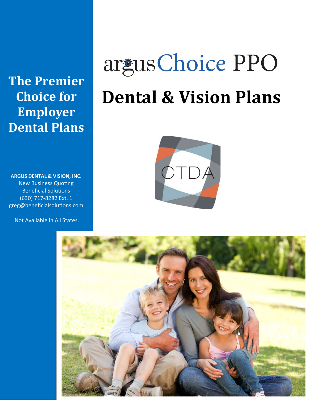**The Premier Choice for Employer Dental Plans**

**ARGUS DENTAL & VISION, INC.** New Business Quoting Beneficial Solutions (630) 717-8282 Ext. 1 greg@beneficialsolutions.com

Not Available in All States.

# argus Choice PPO **Dental & Vision Plans**



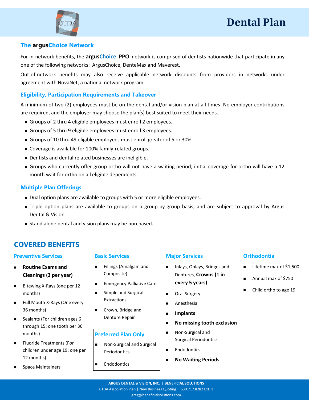# **Dental Plan**



#### **The argusChoice Network**

For in-network benefits, the **argusChoice PPO** network is comprised of dentists nationwide that participate in any one of the following networks: ArgusChoice, DenteMax and Maverest.

Out-of-network benefits may also receive applicable network discounts from providers in networks under agreement with NovaNet, a national network program.

#### **Eligibility, Participation Requirements and Takeover**

A minimum of two (2) employees must be on the dental and/or vision plan at all times. No employer contributions are required, and the employer may choose the plan(s) best suited to meet their needs.

- Groups of 2 thru 4 eligible employees must enroll 2 employees.
- Groups of 5 thru 9 eligible employees must enroll 3 employees.
- Groups of 10 thru 49 eligible employees must enroll greater of 5 or 30%.
- Coverage is available for 100% family-related groups.
- Dentists and dental related businesses are ineligible.
- Groups who currently offer group ortho will not have a waiting period; initial coverage for ortho will have a 12 month wait for ortho on all eligible dependents.

#### **Multiple Plan Offerings**

- Dual option plans are available to groups with 5 or more eligible employees.
- Triple option plans are available to groups on a group-by-group basis, and are subject to approval by Argus Dental & Vision.
- Stand alone dental and vision plans may be purchased.

### **COVERED BENEFITS**

#### **Preventive Services**

- <sup>◼</sup> **Routine Exams and Cleanings (3 per year)**
- Bitewing X-Rays (one per 12 months)
- Full Mouth X-Rays (One every 36 months)
- Sealants (For children ages 6 through 15; one tooth per 36 months)
- Fluoride Treatments (For children under age 19; one per 12 months)
- Space Maintainers

#### **Basic Services**

- Fillings (Amalgam and Composite)
- <sup>◼</sup> Emergency Palliative Care
- Simple and Surgical Extractions
- Crown, Bridge and Denture Repair

#### **Preferred Plan Only**

- Non-Surgical and Surgical **Periodontics**
- Endodontics

#### **Major Services**

- Inlays, Onlays, Bridges and Dentures, **Crowns (1 in every 5 years)**
- Oral Surgery
- Anesthesia
- <sup>◼</sup> **Implants**
- <sup>◼</sup> **No missing tooth exclusion**
- Non-Surgical and Surgical Periodontics
- Endodontics
- <sup>◼</sup> **No Waiting Periods**

#### **Orthodontia**

- Lifetime max of \$1,500
- <sup>◼</sup> Annual max of \$750
- Child ortho to age 19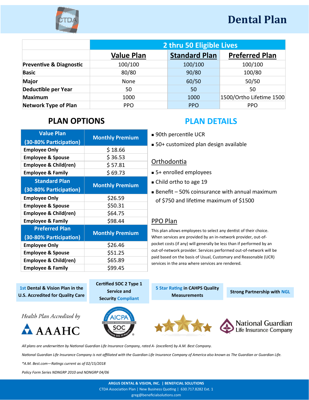

# **Dental Plan**

|                                    | 2 thru 50 Eligible Lives |                      |                          |  |
|------------------------------------|--------------------------|----------------------|--------------------------|--|
|                                    | <b>Value Plan</b>        | <b>Standard Plan</b> | <b>Preferred Plan</b>    |  |
| <b>Preventive &amp; Diagnostic</b> | 100/100                  | 100/100              | 100/100                  |  |
| <b>Basic</b>                       | 80/80                    | 90/80                | 100/80                   |  |
| Major                              | None                     | 60/50                | 50/50                    |  |
| Deductible per Year                | 50                       | 50                   | 50                       |  |
| <b>Maximum</b>                     | 1000                     | 1000                 | 1500/Ortho Lifetime 1500 |  |
| <b>Network Type of Plan</b>        | <b>PPO</b>               | <b>PPO</b>           | <b>PPO</b>               |  |

## **PLAN OPTIONS**

| <b>Value Plan</b>                               |                        |  |  |
|-------------------------------------------------|------------------------|--|--|
| (30-80% Participation)                          | <b>Monthly Premium</b> |  |  |
| <b>Employee Only</b>                            | \$18.66                |  |  |
| <b>Employee &amp; Spouse</b>                    | \$36.53                |  |  |
| <b>Employee &amp; Child(ren)</b>                | \$57.81                |  |  |
| <b>Employee &amp; Family</b>                    | \$69.73                |  |  |
| <b>Standard Plan</b><br>(30-80% Participation)  | <b>Monthly Premium</b> |  |  |
| <b>Employee Only</b>                            | \$26.59                |  |  |
| <b>Employee &amp; Spouse</b>                    | \$50.31                |  |  |
| <b>Employee &amp; Child(ren)</b>                | \$64.75                |  |  |
| <b>Employee &amp; Family</b>                    | \$98.44                |  |  |
| <b>Preferred Plan</b><br>(30-80% Participation) | <b>Monthly Premium</b> |  |  |
| <b>Employee Only</b>                            | \$26.46                |  |  |
| <b>Employee &amp; Spouse</b>                    | \$51.25                |  |  |
| <b>Employee &amp; Child(ren)</b>                | \$65.89                |  |  |
| <b>Employee &amp; Family</b>                    | \$99.45                |  |  |

## **PLAN DETAILS**

- 90th percentile UCR
- 50+ customized plan design available

#### **Orthodontia**

- 5+ enrolled employees
- Child ortho to age 19
- $\blacksquare$  Benefit 50% coinsurance with annual maximum of \$750 and lifetime maximum of \$1500

#### PPO Plan

This plan allows employees to select any dentist of their choice. When services are provided by an in-network provider, out-ofpocket costs (if any) will generally be less than if performed by an out-of-network provider. Services performed out-of-network will be paid based on the basis of Usual, Customary and Reasonable (UCR) services in the area where services are rendered.

**1st Dental & Vision Plan in the**  U.S. Accredited for Quality Care<br>
U.S. Accredited for Quality Care<br> **Strong Partnership with NGL** 

Health Plan Accredited by







**5 Star Rating in CAHPS Quality Measurements**





*All plans are underwritten by National Guardian Life Insurance Company, rated A- (excellent) by A.M. Best Company.* 

*National Guardian Life Insurance Company is not affiliated with the Guardian Life Insurance Company of America also known as The Guardian or Guardian Life.*

*\*A.M. Best.com—Ratings current as of 02/15/2018*

*Policy Form Series NDNGRP 2010 and NDNGRP 04/06*